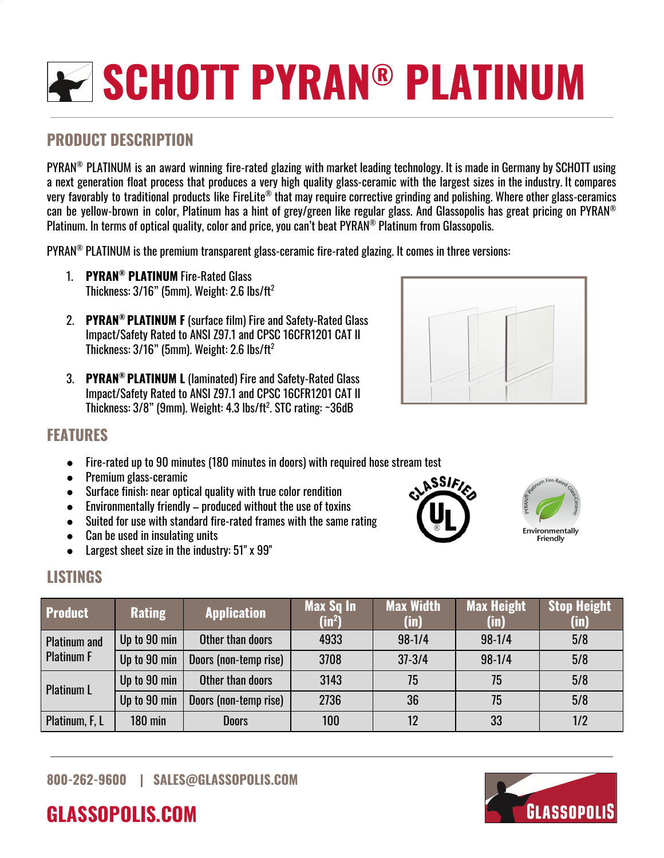# **SCHOTT PYRAN ® PLATINUM**

# **PRODUCT DESCRIPTION**

PYRAN ® PLATINUM is an award winning fire-rated glazing with market leading technology. It is made in Germany by SCHOTT using a next generation float process that produces a very high quality glass-ceramic with the largest sizes in the industry. It compares very favorably to traditional products like FireLite® that may require corrective grinding and polishing. Where other glass-ceramics can be yellow-brown in color, Platinum has a hint of grey/green like regular glass. And Glassopolis has great pricing on PYRAN ® Platinum. In terms of optical quality, color and price, you can't beat PYRAN ® Platinum from Glassopolis.

<code>PYRAN®</code> <code>PLATINUM</code> is the premium transparent glass-ceramic fire-rated glazing. It comes in three versions:  $\,$ 

- 1. **PYRAN ® PLATINUM** Fire-Rated Glass Thickness: 3/16" (5mm). Weight: 2.6 lbs/ft $^{\rm 2}$
- 2. **PYRAN ® PLATINUM F** (surface film) Fire and Safety-Rated Glass Impact/Safety Rated to ANSI Z97.1 and CPSC 16CFR1201 CAT II Thickness: 3/16" (5mm). Weight: 2.6 lbs/ft $^{\rm 2}$
- 3. **PYRAN ® PLATINUM L** (laminated) Fire and Safety-Rated Glass Impact/Safety Rated to ANSI Z97.1 and CPSC 16CFR1201 CAT II Thickness: 3/8" (9mm). Weight: 4.3 lbs/ft 2 . STC rating: ~36dB



### **FEATURES**

- Fire-rated up to 90 minutes (180 minutes in doors) with required hose stream test
- Premium glass-ceramic
- Surface finish: near optical quality with true color rendition
- $\bullet$  Environmentally friendly produced without the use of toxins
- Suited for use with standard fire-rated frames with the same rating
- Can be used in insulating units
- Largest sheet size in the industry: 51" x 99"





| <b>Product</b>                           | <b>Rating</b>  | <b>Application</b>    | Max Sq In<br>$(in^2)$ | <b>Max Width</b><br>$(\mathsf{in})$ | <b>Max Height</b><br>$(\mathsf{in})$ | <b>Stop Height</b><br>(in) |
|------------------------------------------|----------------|-----------------------|-----------------------|-------------------------------------|--------------------------------------|----------------------------|
| <b>Platinum and</b><br><b>Platinum F</b> | Up to 90 min   | Other than doors      | 4933                  | $98 - 1/4$                          | $98-1/4$                             | 5/8                        |
|                                          | Up to 90 min   | Doors (non-temp rise) | 3708                  | $37 - 3/4$                          | $98-1/4$                             | 5/8                        |
| <b>Platinum L</b>                        | Up to 90 min   | Other than doors      | 3143                  | 75                                  | 75                                   | 5/8                        |
|                                          | Up to 90 min   | Doors (non-temp rise) | 2736                  | 36                                  | 75                                   | 5/8                        |
| Platinum, F, L                           | <b>180 min</b> | <b>Doors</b>          | 100                   | 12                                  | 33                                   | 1/2                        |

**GLASSOPOLIS.COM**



Friendly